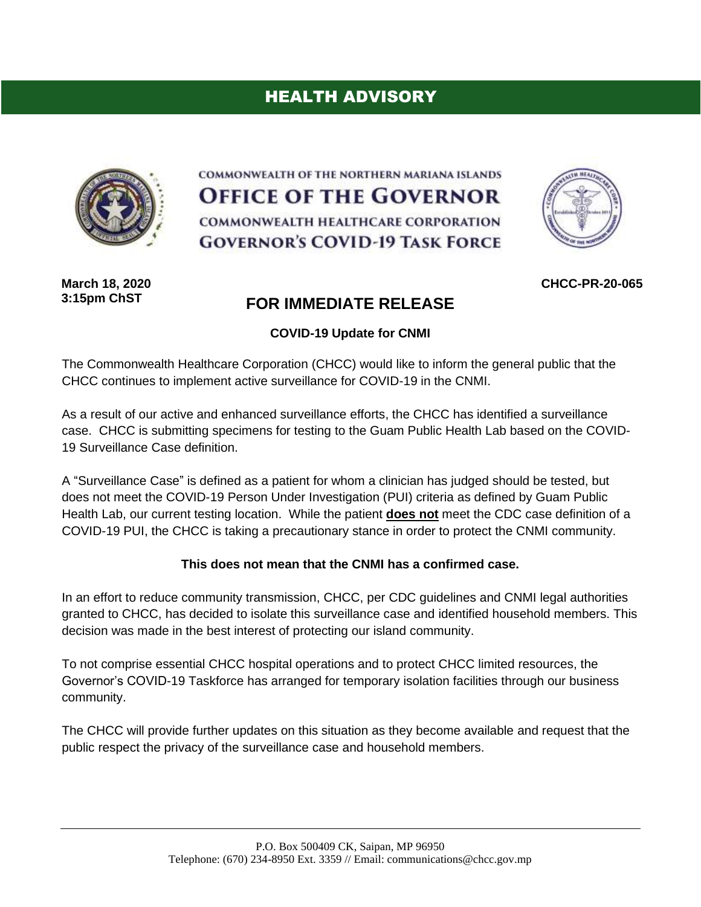# HEALTH ADVISORY



COMMONWEALTH OF THE NORTHERN MARIANA ISLANDS **OFFICE OF THE GOVERNOR** COMMONWEALTH HEALTHCARE CORPORATION **GOVERNOR'S COVID-19 TASK FORCE** 



**March 18, 2020 3:15pm ChST**

## **FOR IMMEDIATE RELEASE**

#### **COVID-19 Update for CNMI**

The Commonwealth Healthcare Corporation (CHCC) would like to inform the general public that the CHCC continues to implement active surveillance for COVID-19 in the CNMI.

As a result of our active and enhanced surveillance efforts, the CHCC has identified a surveillance case. CHCC is submitting specimens for testing to the Guam Public Health Lab based on the COVID-19 Surveillance Case definition.

A "Surveillance Case" is defined as a patient for whom a clinician has judged should be tested, but does not meet the COVID-19 Person Under Investigation (PUI) criteria as defined by Guam Public Health Lab, our current testing location. While the patient **does not** meet the CDC case definition of a COVID-19 PUI, the CHCC is taking a precautionary stance in order to protect the CNMI community.

#### **This does not mean that the CNMI has a confirmed case.**

In an effort to reduce community transmission, CHCC, per CDC guidelines and CNMI legal authorities granted to CHCC, has decided to isolate this surveillance case and identified household members. This decision was made in the best interest of protecting our island community.

To not comprise essential CHCC hospital operations and to protect CHCC limited resources, the Governor's COVID-19 Taskforce has arranged for temporary isolation facilities through our business community.

The CHCC will provide further updates on this situation as they become available and request that the public respect the privacy of the surveillance case and household members.

**CHCC-PR-20-065**